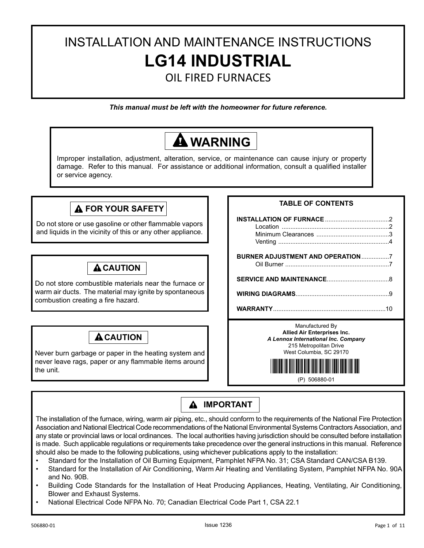# INSTALLATION AND MAINTENANCE INSTRUCTIONS **LG14 INDUSTRIAL**

OIL FIRED FURNACES

*This manual must be left with the homeowner for future reference.*

# **WARNING**

Improper installation, adjustment, alteration, service, or maintenance can cause injury or property damage. Refer to this manual. For assistance or additional information, consult a qualified installer or service agency.

# **FOR YOUR SAFETY**

Do not store or use gasoline or other flammable vapors and liquids in the vicinity of this or any other appliance.

# **A CAUTION**

Do not store combustible materials near the furnace or warm air ducts. The material may ignite by spontaneous combustion creating a fire hazard.

# **A** CAUTION

Never burn garbage or paper in the heating system and never leave rags, paper or any flammable items around the unit.

# **TABLE OF CONTENTS**

| BURNER ADJUSTMENT AND OPERATION7                                                                                                           |  |
|--------------------------------------------------------------------------------------------------------------------------------------------|--|
|                                                                                                                                            |  |
|                                                                                                                                            |  |
|                                                                                                                                            |  |
| Manufactured By<br>Allied Air Enterprises Inc.<br>A Lennox International Inc. Company<br>215 Metropolitan Drive<br>West Columbia, SC 29170 |  |

\*P506880-01\*

(P) 506880-01

# **A IMPORTANT**

The installation of the furnace, wiring, warm air piping, etc., should conform to the requirements of the National Fire Protection Association and National Electrical Code recommendations of the National Environmental Systems Contractors Association, and any state or provincial laws or local ordinances. The local authorities having jurisdiction should be consulted before installation is made. Such applicable regulations or requirements take precedence over the general instructions in this manual. Reference should also be made to the following publications, using whichever publications apply to the installation:

- Standard for the Installation of Oil Burning Equipment, Pamphlet NFPA No. 31; CSA Standard CAN/CSA B139.
- Standard for the Installation of Air Conditioning, Warm Air Heating and Ventilating System, Pamphlet NFPA No. 90A and No. 90B.
- Building Code Standards for the Installation of Heat Producing Appliances, Heating, Ventilating, Air Conditioning, Blower and Exhaust Systems.
- National Electrical Code NFPA No. 70; Canadian Electrical Code Part 1, CSA 22.1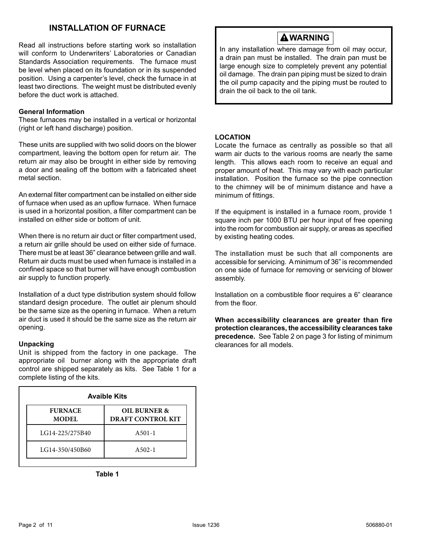# **INSTALLATION OF FURNACE**

Read all instructions before starting work so installation will conform to Underwriters' Laboratories or Canadian Standards Association requirements. The furnace must be level when placed on its foundation or in its suspended position. Using a carpenter's level, check the furnace in at least two directions. The weight must be distributed evenly before the duct work is attached.

# **General Information**

These furnaces may be installed in a vertical or horizontal (right or left hand discharge) position.

These units are supplied with two solid doors on the blower compartment, leaving the bottom open for return air. The return air may also be brought in either side by removing a door and sealing off the bottom with a fabricated sheet metal section.

An external filter compartment can be installed on either side of furnace when used as an upflow furnace. When furnace is used in a horizontal position, a filter compartment can be installed on either side or bottom of unit.

When there is no return air duct or filter compartment used, a return air grille should be used on either side of furnace. There must be at least 36" clearance between grille and wall. Return air ducts must be used when furnace is installed in a confined space so that burner will have enough combustion air supply to function properly.

Installation of a duct type distribution system should follow standard design procedure. The outlet air plenum should be the same size as the opening in furnace. When a return air duct is used it should be the same size as the return air opening.

### **Unpacking**

Unit is shipped from the factory in one package. The appropriate oil burner along with the appropriate draft control are shipped separately as kits. See Table 1 for a complete listing of the kits.

|                                | <b>Avaible Kits</b>                      |
|--------------------------------|------------------------------------------|
| <b>FURNACE</b><br><b>MODEL</b> | OIL BURNER &<br><b>DRAFT CONTROL KIT</b> |
| LG14-225/275B40                | $A_{501-1}$                              |
| LG14-350/450B60                | $A502-1$                                 |

**Table 1**

# **WARNING**

In any installation where damage from oil may occur, a drain pan must be installed. The drain pan must be large enough size to completely prevent any potential oil damage. The drain pan piping must be sized to drain the oil pump capacity and the piping must be routed to drain the oil back to the oil tank.

# **LOCATION**

Locate the furnace as centrally as possible so that all warm air ducts to the various rooms are nearly the same length. This allows each room to receive an equal and proper amount of heat. This may vary with each particular installation. Position the furnace so the pipe connection to the chimney will be of minimum distance and have a minimum of fittings.

If the equipment is installed in a furnace room, provide 1 square inch per 1000 BTU per hour input of free opening into the room for combustion air supply, or areas as specified by existing heating codes.

The installation must be such that all components are accessible for servicing. A minimum of 36" is recommended on one side of furnace for removing or servicing of blower assembly.

Installation on a combustible floor requires a 6" clearance from the floor.

**When accessibility clearances are greater than fire protection clearances, the accessibility clearances take precedence.** See Table 2 on page 3 for listing of minimum clearances for all models.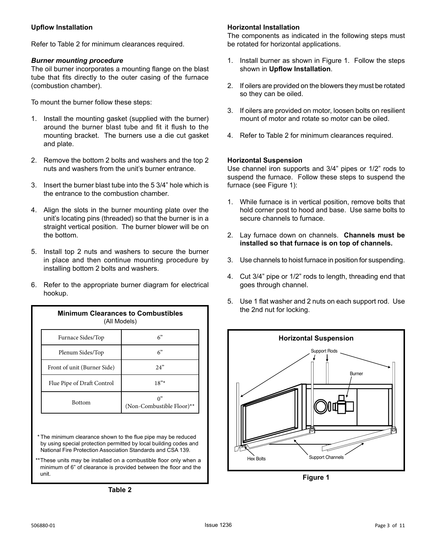# **Upflow Installation**

Refer to Table 2 for minimum clearances required.

### *Burner mounting procedure*

The oil burner incorporates a mounting flange on the blast tube that fits directly to the outer casing of the furnace (combustion chamber).

To mount the burner follow these steps:

- 1. Install the mounting gasket (supplied with the burner) around the burner blast tube and fit it flush to the mounting bracket. The burners use a die cut gasket and plate.
- 2. Remove the bottom 2 bolts and washers and the top 2 nuts and washers from the unit's burner entrance.
- 3. Insert the burner blast tube into the 5 3/4" hole which is the entrance to the combustion chamber.
- 4. Align the slots in the burner mounting plate over the unit's locating pins (threaded) so that the burner is in a straight vertical position. The burner blower will be on the bottom.
- 5. Install top 2 nuts and washers to secure the burner in place and then continue mounting procedure by installing bottom 2 bolts and washers.
- 6. Refer to the appropriate burner diagram for electrical hookup.

| <b>Minimum Clearances to Combustibles</b><br>(All Models) |                                 |
|-----------------------------------------------------------|---------------------------------|
| Furnace Sides/Top                                         | 6"                              |
| Plenum Sides/Top                                          | 6"                              |
| Front of unit (Burner Side)                               | 2.4"                            |
| Flue Pipe of Draft Control                                | $18"$ *                         |
| <b>Bottom</b>                                             | ሰ"<br>(Non-Combustible Floor)** |

\* The minimum clearance shown to the flue pipe may be reduced by using special protection permitted by local building codes and National Fire Protection Association Standards and CSA 139.

\*These units may be installed on a combustible floor only when a minimum of 6" of clearance is provided between the floor and the unit.

**Table 2**

# **Horizontal Installation**

The components as indicated in the following steps must be rotated for horizontal applications.

- 1. Install burner as shown in Figure 1. Follow the steps shown in **Upflow Installation**.
- 2. If oilers are provided on the blowers they must be rotated so they can be oiled.
- 3. If oilers are provided on motor, loosen bolts on resilient mount of motor and rotate so motor can be oiled.
- 4. Refer to Table 2 for minimum clearances required.

# **Horizontal Suspension**

Use channel iron supports and 3/4" pipes or 1/2" rods to suspend the furnace. Follow these steps to suspend the furnace (see Figure 1):

- 1. While furnace is in vertical position, remove bolts that hold corner post to hood and base. Use same bolts to secure channels to furnace.
- 2. Lay furnace down on channels. **Channels must be installed so that furnace is on top of channels.**
- 3. Use channels to hoist furnace in position for suspending.
- 4. Cut 3/4" pipe or 1/2" rods to length, threading end that goes through channel.
- 5. Use 1 flat washer and 2 nuts on each support rod. Use the 2nd nut for locking.



**Figure 1**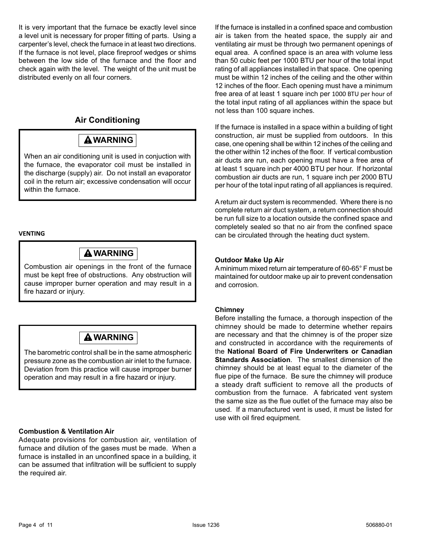It is very important that the furnace be exactly level since a level unit is necessary for proper fitting of parts. Using a carpenter's level, check the furnace in at least two directions. If the furnace is not level, place fireproof wedges or shims between the low side of the furnace and the floor and check again with the level. The weight of the unit must be distributed evenly on all four corners.

# **Air Conditioning**

# **WARNING**

When an air conditioning unit is used in conjuction with the furnace, the evaporator coil must be installed in the discharge (supply) air. Do not install an evaporator coil in the return air; excessive condensation will occur within the furnace.

# **VENTING**

# **WARNING**

Combustion air openings in the front of the furnace must be kept free of obstructions. Any obstruction will cause improper burner operation and may result in a fire hazard or injury.

# **WARNING**

The barometric control shall be in the same atmospheric pressure zone as the combustion air inlet to the furnace. Deviation from this practice will cause improper burner operation and may result in a fire hazard or injury.

# **Combustion & Ventilation Air**

Adequate provisions for combustion air, ventilation of furnace and dilution of the gases must be made. When a furnace is installed in an unconfined space in a building, it can be assumed that infiltration will be sufficient to supply the required air.

If the furnace is installed in a confined space and combustion air is taken from the heated space, the supply air and ventilating air must be through two permanent openings of equal area. A confined space is an area with volume less than 50 cubic feet per 1000 BTU per hour of the total input rating of all appliances installed in that space. One opening must be within 12 inches of the ceiling and the other within 12 inches of the floor. Each opening must have a minimum free area of at least 1 square inch per 1000 BTU per hour of the total input rating of all appliances within the space but not less than 100 square inches.

If the furnace is installed in a space within a building of tight construction, air must be supplied from outdoors. In this case, one opening shall be within 12 inches of the ceiling and the other within 12 inches of the floor. If vertical combustion air ducts are run, each opening must have a free area of at least 1 square inch per 4000 BTU per hour. If horizontal combustion air ducts are run, 1 square inch per 2000 BTU per hour of the total input rating of all appliances is required.

A return air duct system is recommended. Where there is no complete return air duct system, a return connection should be run full size to a location outside the confined space and completely sealed so that no air from the confined space can be circulated through the heating duct system.

# **Outdoor Make Up Air**

A minimum mixed return air temperature of 60-65° F must be maintained for outdoor make up air to prevent condensation and corrosion.

### **Chimney**

Before installing the furnace, a thorough inspection of the chimney should be made to determine whether repairs are necessary and that the chimney is of the proper size and constructed in accordance with the requirements of the **National Board of Fire Underwriters or Canadian Standards Association**. The smallest dimension of the chimney should be at least equal to the diameter of the flue pipe of the furnace. Be sure the chimney will produce a steady draft sufficient to remove all the products of combustion from the furnace. A fabricated vent system the same size as the flue outlet of the furnace may also be used. If a manufactured vent is used, it must be listed for use with oil fired equipment.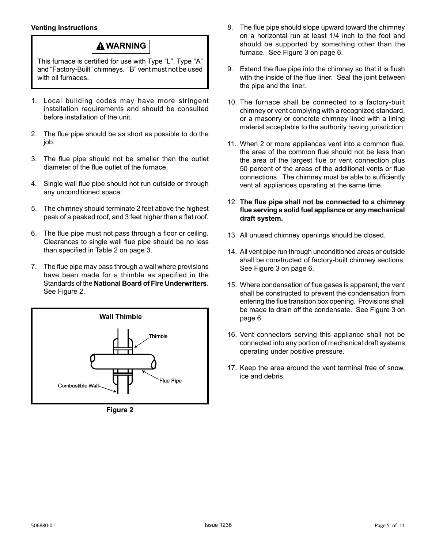# **Venting Instructions**

# **WARNING**

This furnace is certified for use with Type "L", Type "A" and "Factory-Built" chimneys. "B" vent must not be used with oil furnaces.

- 1. Local building codes may have more stringent installation requirements and should be consulted before installation of the unit.
- 2. The flue pipe should be as short as possible to do the job.
- 3. The flue pipe should not be smaller than the outlet diameter of the flue outlet of the furnace.
- 4. Single wall flue pipe should not run outside or through any unconditioned space.
- 5. The chimney should terminate 2 feet above the highest peak of a peaked roof, and 3 feet higher than a flat roof.
- 6. The flue pipe must not pass through a floor or ceiling. Clearances to single wall flue pipe should be no less than specified in Table 2 on page 3.
- 7. The flue pipe may pass through a wall where provisions have been made for a thimble as specified in the Standards of the **National Board of Fire Underwriters**. See Figure 2.



**Figure 2**

- 8. The flue pipe should slope upward toward the chimney on a horizontal run at least 1/4 inch to the foot and should be supported by something other than the furnace. See Figure 3 on page 6.
- 9. Extend the flue pipe into the chimney so that it is flush with the inside of the flue liner. Seal the joint between the pipe and the liner.
- 10. The furnace shall be connected to a factory-built chimney or vent complying with a recognized standard, or a masonry or concrete chimney lined with a lining material acceptable to the authority having jurisdiction.
- 11. When 2 or more appliances vent into a common flue, the area of the common flue should not be less than the area of the largest flue or vent connection plus 50 percent of the areas of the additional vents or flue connections. The chimney must be able to sufficiently vent all appliances operating at the same time.
- 12. **The flue pipe shall not be connected to a chimney flue serving a solid fuel appliance or any mechanical draft system.**
- 13. All unused chimney openings should be closed.
- 14. All vent pipe run through unconditioned areas or outside shall be constructed of factory-built chimney sections. See Figure 3 on page 6.
- 15. Where condensation of flue gases is apparent, the vent shall be constructed to prevent the condensation from entering the flue transition box opening. Provisions shall be made to drain off the condensate. See Figure 3 on page 6.
- 16. Vent connectors serving this appliance shall not be connected into any portion of mechanical draft systems operating under positive pressure.
- 17. Keep the area around the vent terminal free of snow, ice and debris.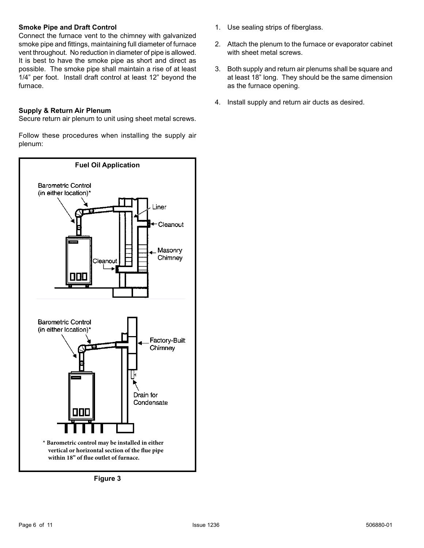# **Smoke Pipe and Draft Control**

Connect the furnace vent to the chimney with galvanized smoke pipe and fittings, maintaining full diameter of furnace vent throughout. No reduction in diameter of pipe is allowed. It is best to have the smoke pipe as short and direct as possible. The smoke pipe shall maintain a rise of at least 1/4" per foot. Install draft control at least 12" beyond the furnace.

### **Supply & Return Air Plenum**

Secure return air plenum to unit using sheet metal screws.

Follow these procedures when installing the supply air plenum:



**Figure 3**

- 1. Use sealing strips of fiberglass.
- 2. Attach the plenum to the furnace or evaporator cabinet with sheet metal screws.
- 3. Both supply and return air plenums shall be square and at least 18" long. They should be the same dimension as the furnace opening.
- 4. Install supply and return air ducts as desired.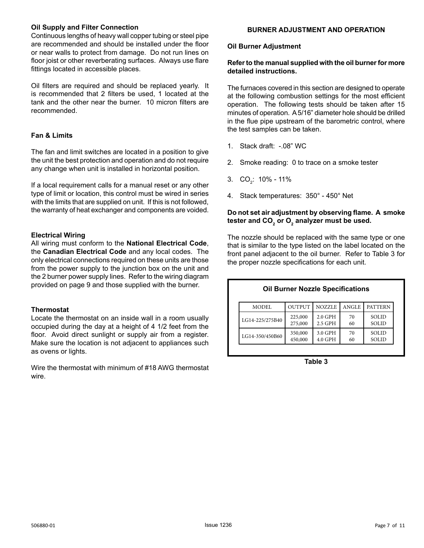### **Oil Supply and Filter Connection**

Continuous lengths of heavy wall copper tubing or steel pipe are recommended and should be installed under the floor or near walls to protect from damage. Do not run lines on floor joist or other reverberating surfaces. Always use flare fittings located in accessible places.

Oil filters are required and should be replaced yearly. It is recommended that 2 filters be used, 1 located at the tank and the other near the burner. 10 micron filters are recommended.

# **Fan & Limits**

The fan and limit switches are located in a position to give the unit the best protection and operation and do not require any change when unit is installed in horizontal position.

If a local requirement calls for a manual reset or any other type of limit or location, this control must be wired in series with the limits that are supplied on unit. If this is not followed, the warranty of heat exchanger and components are voided.

# **Electrical Wiring**

All wiring must conform to the **National Electrical Code**, the **Canadian Electrical Code** and any local codes. The only electrical connections required on these units are those from the power supply to the junction box on the unit and the 2 burner power supply lines. Refer to the wiring diagram provided on page 9 and those supplied with the burner.

### **Thermostat**

Locate the thermostat on an inside wall in a room usually occupied during the day at a height of 4 1/2 feet from the floor. Avoid direct sunlight or supply air from a register. Make sure the location is not adjacent to appliances such as ovens or lights.

Wire the thermostat with minimum of #18 AWG thermostat wire.

# **BURNER ADJUSTMENT AND OPERATION**

#### **Oil Burner Adjustment**

### **Refer to the manual supplied with the oil burner for more detailed instructions.**

The furnaces covered in this section are designed to operate at the following combustion settings for the most efficient operation. The following tests should be taken after 15 minutes of operation. A 5/16" diameter hole should be drilled in the flue pipe upstream of the barometric control, where the test samples can be taken.

- 1. Stack draft: -.08" WC
- 2. Smoke reading: 0 to trace on a smoke tester
- 3. CO<sub>2</sub>: 10% 11%
- 4. Stack temperatures: 350° 450° Net

# **Do not set air adjustment by observing flame. A smoke**  tester and CO<sub>2</sub> or O<sub>2</sub> analyzer must be used.

The nozzle should be replaced with the same type or one that is similar to the type listed on the label located on the front panel adjacent to the oil burner. Refer to Table 3 for the proper nozzle specifications for each unit.

# **Oil Burner Nozzle Specifications**

| MODEL           | <b>OUTPUT</b> | <b>NOZZLE</b> | <b>ANGLE</b> | <b>PATTERN</b> |
|-----------------|---------------|---------------|--------------|----------------|
| LG14-225/275B40 | 225,000       | $2.0$ GPH     | 70           | <b>SOLID</b>   |
|                 | 275,000       | 2.5 GPH       | 60           | <b>SOLID</b>   |
| LG14-350/450B60 | 350,000       | 3.0 GPH       | 70           | <b>SOLID</b>   |
|                 | 450,000       | 4.0 GPH       | 60           | SOLID          |

**Table 3**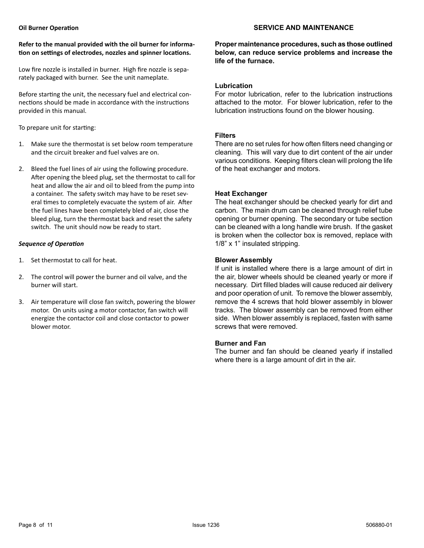#### **SERVICE AND MAINTENANCE**

### **Refer to the manual provided with the oil burner for information on settings of electrodes, nozzles and spinner locations.**

Low fire nozzle is installed in burner. High fire nozzle is separately packaged with burner. See the unit nameplate.

Before starting the unit, the necessary fuel and electrical connections should be made in accordance with the instructions provided in this manual.

To prepare unit for starting:

- 1. Make sure the thermostat is set below room temperature and the circuit breaker and fuel valves are on.
- 2. Bleed the fuel lines of air using the following procedure. After opening the bleed plug, set the thermostat to call for heat and allow the air and oil to bleed from the pump into a container. The safety switch may have to be reset several times to completely evacuate the system of air. After the fuel lines have been completely bled of air, close the bleed plug, turn the thermostat back and reset the safety switch. The unit should now be ready to start.

# *Sequence of Operation*

- 1. Set thermostat to call for heat.
- 2. The control will power the burner and oil valve, and the burner will start.
- 3. Air temperature will close fan switch, powering the blower motor. On units using a motor contactor, fan switch will energize the contactor coil and close contactor to power blower motor.

**Proper maintenance procedures, such as those outlined below, can reduce service problems and increase the life of the furnace.**

### **Lubrication**

For motor lubrication, refer to the lubrication instructions attached to the motor. For blower lubrication, refer to the lubrication instructions found on the blower housing.

# **Filters**

There are no set rules for how often filters need changing or cleaning. This will vary due to dirt content of the air under various conditions. Keeping filters clean will prolong the life of the heat exchanger and motors.

# **Heat Exchanger**

The heat exchanger should be checked yearly for dirt and carbon. The main drum can be cleaned through relief tube opening or burner opening. The secondary or tube section can be cleaned with a long handle wire brush. If the gasket is broken when the collector box is removed, replace with 1/8" x 1" insulated stripping.

# **Blower Assembly**

If unit is installed where there is a large amount of dirt in the air, blower wheels should be cleaned yearly or more if necessary. Dirt filled blades will cause reduced air delivery and poor operation of unit. To remove the blower assembly, remove the 4 screws that hold blower assembly in blower tracks. The blower assembly can be removed from either side. When blower assembly is replaced, fasten with same screws that were removed.

# **Burner and Fan**

The burner and fan should be cleaned yearly if installed where there is a large amount of dirt in the air.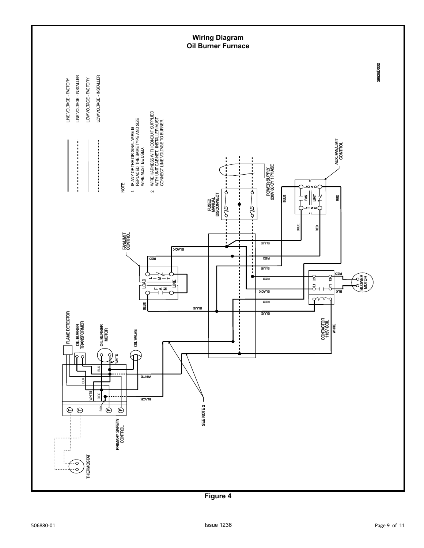

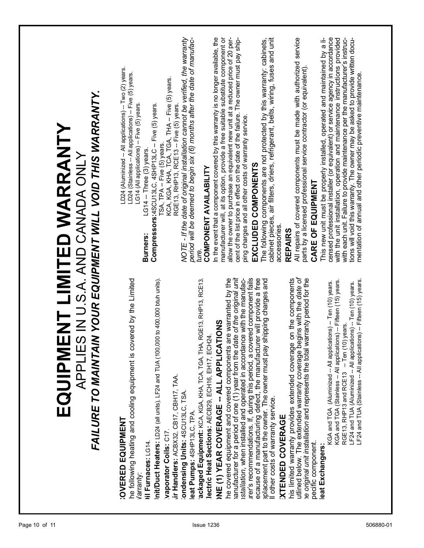| LF24 and TUA (Stainless -- All applications) -- Fifteen (15) years.<br>-- Ten (10) years.<br>EQUIPM<br>RGE13, RHP13 and RCE13 | FAILURE TO MAINTAIN YOUR EQUIPMENT WILL VOID THIS WARRANTY.<br>ENT LIMITED WARRANTY<br>APPLIES IN U.S.A. AND CANADA ONLY | NOTE - If the date of original installation cannot be verified, the warranty<br>period will be deemed to begin six (6) months after the date of manufac-<br>In the event that a component covered by this warranty is no longer available, the<br>manufacturer will, at its option, provide a free suitable substitute component or<br>allow the owner to purchase an equivalent new unit at a reduced price of 20 per-<br>cabinet pieces, air filters, driers, refrigerant, belts, wiring, fuses and unit<br>All repairs of covered components must be made with authorized service<br>censed professional installer (or equivalent) or service agency in accordance<br>with the unit installation, operation and maintenance instructions provided<br>cent of the list price in effect on the date of the failure. The owner must pay ship-<br>This new unit must be properly installed, operated and maintained by a li-<br>with each unit. Failure to provide maintenance per the manufacturer's instruc-<br>tions will void this warranty. The owner may be asked to provide written docu-<br>The following components are not protected by this warranty: cabinets,<br>parts by a licensed professional service contractor (or equivalent).<br>LD24 (Aluminized -- All applications) -- Two (2) years.<br>LD24 (Stainless -- All applications) -- Five (5) years.<br>mentation of annual and other periodic preventive maintenance.<br><b>Compressors:</b> 4SCU13LC, 4SHP13LC -- Five (5) years.<br>TSA, TPA -- Five (5) years.<br>KCA, KGA, KHA, TCA, TGA, THA -- Five (5) years.<br>RGE13, RHP13, RCE13 -- Five (5) years.<br>LG14 (All applications) -- Five (5) years.<br>ping charges and all other costs of warranty service.<br>LG14 - Three (3) years.<br>EXCLUDED COMPONENTS<br><b>COMPONENT AVAILABILITY</b><br>CARE OF EQUIPMENT<br>accessories.<br><b>REPAIRS</b><br>Burners:<br>ture. |           |
|-------------------------------------------------------------------------------------------------------------------------------|--------------------------------------------------------------------------------------------------------------------------|----------------------------------------------------------------------------------------------------------------------------------------------------------------------------------------------------------------------------------------------------------------------------------------------------------------------------------------------------------------------------------------------------------------------------------------------------------------------------------------------------------------------------------------------------------------------------------------------------------------------------------------------------------------------------------------------------------------------------------------------------------------------------------------------------------------------------------------------------------------------------------------------------------------------------------------------------------------------------------------------------------------------------------------------------------------------------------------------------------------------------------------------------------------------------------------------------------------------------------------------------------------------------------------------------------------------------------------------------------------------------------------------------------------------------------------------------------------------------------------------------------------------------------------------------------------------------------------------------------------------------------------------------------------------------------------------------------------------------------------------------------------------------------------------------------------------------------------------------------------------------------------------------------|-----------|
|                                                                                                                               |                                                                                                                          | begins with the date of<br>date of the original unit<br>urer's recommendations. If, during this period, a covered component fails<br>ecause of a manufacturing defect, the manufacturer will provide a free<br>istallation, when installed and operated in accordance with the manufac-<br>covered by the Limited<br>he covered equipment and covered components are warranted by the<br>splacement part to the owner. The owner must pay shipping charges and<br>ackaged Equipment: KCA, KGA, KHA, TCA, TGA, THA, RGE13, RHP13, RCE13.<br>his limited warranty provides extended coverage on the components<br>warranty period for the<br>Init/Duct Heaters: LD24 (all units), LF24 and TUA (100,000 to 400,000 btuh units).<br>KGA and TGA (Stainless -- All applications) -- Fifteen (15) years.<br>KGA and TGA (Aluminized -- All applications) -- Ten (10) years.<br>LF24 and TUA (Aluminized -- All applications) -- Ten (10) years.<br><b>INE (1) YEAR COVERAGE -- ALL APPLICATIONS</b><br>lectric Heat Sections: AECB29, ECH16, EH17, ECH24.<br>ranufacturer for a period of one (1) year from the<br>ne original unit installation and represents the total<br>utlined below. The extended warranty coverage<br>he following heating and cooling equipment is<br>ir Handlers: ACBX32, CB17, CBH17, TAA<br>ondensing Units: 4SCU13LC, TSA<br>Il other costs of warranty service.<br>leat Pumps: 4SHP13LC, TPA.<br><b>XTENDED COVERAGE</b><br><b>COVERED EQUIPMENT</b><br>vaporator Coils: C17.<br>pecific component.<br><b>iil Furnaces: LG14</b><br>leat Exchangers:<br>Varranty                                                                                                                                                                                                                                                                                                                |           |
| Page 10 of 11<br>Issue 1236                                                                                                   |                                                                                                                          |                                                                                                                                                                                                                                                                                                                                                                                                                                                                                                                                                                                                                                                                                                                                                                                                                                                                                                                                                                                                                                                                                                                                                                                                                                                                                                                                                                                                                                                                                                                                                                                                                                                                                                                                                                                                                                                                                                          | 506880-01 |